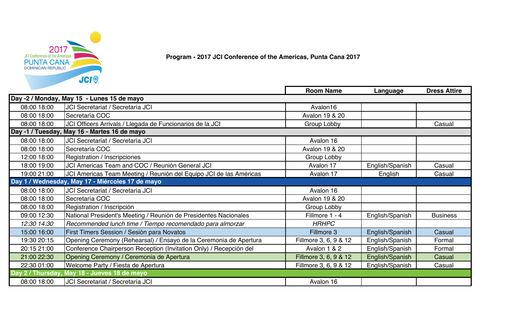

**Program - 2017 JCI Conference of the Americas, Punta Cana 2017**

|             |                                                                    | <b>Room Name</b>      | Language        | <b>Dress Attire</b> |
|-------------|--------------------------------------------------------------------|-----------------------|-----------------|---------------------|
|             | Day -2 / Monday, May 15 - Lunes 15 de mayo                         |                       |                 |                     |
| 08:00 18:00 | JCI Secretariat / Secretaría JCI                                   | Avalon16              |                 |                     |
| 08:00 18:00 | Secretaría COC                                                     | Avalon 19 & 20        |                 |                     |
| 08:00 18:00 | JCI Officers Arrivals / Llegada de Funcionarios de la JCI          | Group Lobby           |                 | Casual              |
|             | Day -1 / Tuesday, May 16 - Martes 16 de mayo                       |                       |                 |                     |
| 08:00 18:00 | JCI Secretariat / Secretaría JCI                                   | Avalon 16             |                 |                     |
| 08:00 18:00 | Secretaría COC                                                     | Avalon 19 & 20        |                 |                     |
| 12:00 18:00 | Registration / Inscripciones                                       | Group Lobby           |                 |                     |
| 18:00 19:00 | JCI Americas Team and COC / Reunión General JCI                    | Avalon 17             | English/Spanish | Casual              |
| 19:00 21:00 | JCI Americas Team Meeting / Reunión del Equipo JCI de las Américas | Avalon 17             | English         | Casual              |
|             | Day 1 / Wednesday, May 17 - Miércoles 17 de mayo                   |                       |                 |                     |
| 08:00 18:00 | JCI Secretariat / Secretaría JCI                                   | Avalon 16             |                 |                     |
| 08:00 18:00 | Secretaría COC                                                     | Avalon 19 & 20        |                 |                     |
| 08:00 18:00 | Registration / Inscripción                                         | Group Lobby           |                 |                     |
| 09:00 12:30 | National President's Meeting / Reunión de Presidentes Nacionales   | Fillmore 1 - 4        | English/Spanish | <b>Business</b>     |
| 12:30 14:30 | Recommended lunch time / Tiempo recomendado para almorzar          | <b>HRHPC</b>          |                 |                     |
| 15:00 16:00 | First Timers Session / Sesión para Novatos                         | Fillmore 3            | English/Spanish | Casual              |
| 19:30 20:15 | Opening Ceremony (Rehearsal) / Ensayo de la Ceremonia de Apertura  | Fillmore 3, 6, 9 & 12 | English/Spanish | Formal              |
| 20:15 21:00 | Conference Chairperson Reception (Invitation Only) / Recepción del | Avalon 1 & 2          | English/Spanish | Formal              |
| 21:00 22:30 | Opening Ceremony / Ceremonia de Apertura                           | Fillmore 3, 6, 9 & 12 | English/Spanish | Casual              |
| 22:30 01:00 | Welcome Party / Fiesta de Apertura                                 | Fillmore 3, 6, 9 & 12 | English/Spanish | Casual              |
|             | Day 2 / Thursday, May 18 - Jueves 18 de mayo                       |                       |                 |                     |
| 08:00 18:00 | JCI Secretariat / Secretaría JCI                                   | Avalon 16             |                 |                     |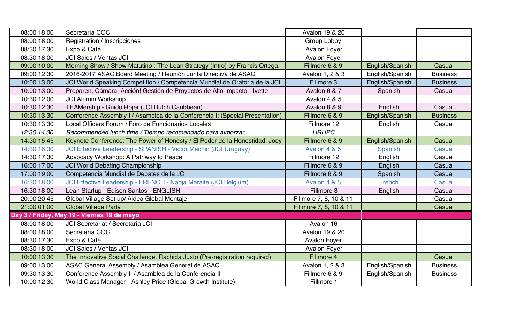| 08:00 18:00 | Secretaría COC                                                               | Avalon 19 & 20         |                 |                 |
|-------------|------------------------------------------------------------------------------|------------------------|-----------------|-----------------|
| 08:00 18:00 | <b>Registration / Inscripciones</b>                                          | Group Lobby            |                 |                 |
| 08:30 17:30 | Expo & Café                                                                  | <b>Avalon Foyer</b>    |                 |                 |
| 08:30 18:00 | <b>JCI Sales / Ventas JCI</b>                                                | <b>Avalon Foyer</b>    |                 |                 |
| 09:00 10:00 | Morning Show / Show Matutino: The Lean Strategy (Intro) by Francis Ortega.   | Fillmore 6 & 9         | English/Spanish | Casual          |
| 09:00 12:30 | 2016-2017 ASAC Board Meeting / Reunión Junta Directiva de ASAC               | Avalon 1, 2 & 3        | English/Spanish | <b>Business</b> |
| 10:00 13:00 | JCI World Speaking Competition / Competencia Mundial de Oratoria de la JCI   | Fillmore 3             | English/Spanish | <b>Business</b> |
| 10:00 13:00 | Preparen, Cámara, Acción! Gestión de Proyectos de Alto Impacto - Ivette      | Avalon 6 & 7           | Spanish         | Casual          |
| 10:30 12:00 | <b>JCI Alumni Workshop</b>                                                   | Avalon 4 & 5           |                 |                 |
| 10:30 12:30 | TEAMership - Guido Rojer (JCI Dutch Caribbean)                               | Avalon 8 & 9           | English         | Casual          |
| 10:30 13:30 | Conference Assembly I / Asamblea de la Conferencia I: (Special Presentation) | Fillmore 6 & 9         | English/Spanish | <b>Business</b> |
| 10:30 13:30 | Local Officers Forum / Foro de Funcionarios Locales                          | Fillmore 12            | English         | Casual          |
| 12:30 14:30 | Recommended lunch time / Tiempo recomendado para almorzar                    | <b>HRHPC</b>           |                 |                 |
| 14:30 15:45 | Keynote Conference: The Power of Honesty / El Poder de la Honestidad. Joey   | Fillmore 6 & 9         | English/Spanish | Casual          |
| 14:30 16:30 | JCI Effective Leadership - SPANISH - Victor Machin (JCI Uruguay)             | Avalon 4 & 5           | Spanish         | Casual          |
| 14:30 17:30 | Advocacy Workshop: A Pathway to Peace                                        | Fillmore 12            | English         | Casual          |
| 16:00 17:00 | <b>JCI World Debating Championship</b>                                       | Fillmore 6 & 9         | English         | Casual          |
| 17:00 19:00 | Competencia Mundial de Debates de la JCI                                     | Fillmore 6 & 9         | Spanish         | Casual          |
| 16:30 18:00 | JCI Effective Leadership - FRENCH - Nadja Maraite (JCI Belgium)              | Avalon 4 & 5           | French          | <b>Casual</b>   |
| 16:30 18:00 | Lean Startup - Edison Santos - ENGLISH                                       | Fillmore 3             | English         | Casual          |
| 20:00 20:45 | Global Village Set up/ Aldea Global Montaje                                  | Fillmore 7, 8, 10 & 11 |                 | Casual          |
| 21:00 01:00 | <b>Global Village Party</b>                                                  | Fillmore 7, 8, 10 & 11 |                 | Casual          |
|             | Day 3 / Friday, May 19 - Viernes 19 de mayo                                  |                        |                 |                 |
| 08:00 18:00 | JCI Secretariat / Secretaría JCI                                             | Avalon 16              |                 |                 |
| 08:00 18:00 | Secretaría COC                                                               | Avalon 19 & 20         |                 |                 |
| 08:30 17:30 | Expo & Café                                                                  | <b>Avalon Foyer</b>    |                 |                 |
| 08:30 18:00 | <b>JCI Sales / Ventas JCI</b>                                                | <b>Avalon Foyer</b>    |                 |                 |
| 10:00 13:30 | The Innovative Social Challenge. Rachida Justo (Pre-registration required)   | Fillmore 4             |                 | Casual          |
| 09:00 13:00 | ASAC General Assembly / Asamblea General de ASAC                             | Avalon 1, 2 & 3        | English/Spanish | <b>Business</b> |
| 09:30 13:30 | Conference Assembly II / Asamblea de la Conferencia II                       | Fillmore 6 & 9         | English/Spanish | <b>Business</b> |
| 10:00 12:30 | World Class Manager - Ashley Price (Global Growth Institute)                 | Fillmore 1             |                 |                 |